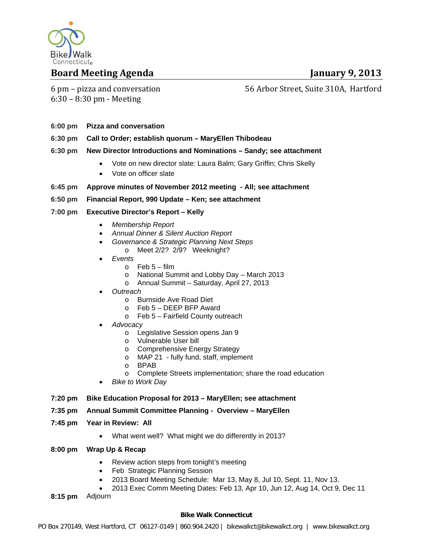

### **Board Meeting Agenda January 9, 2013**

6 pm – pizza and conversation  $6:30 - 8:30$  pm - Meeting

### 56 Arbor Street, Suite 310A, Hartford

- **6:00 pm Pizza and conversation**
- **6:30 pm Call to Order; establish quorum MaryEllen Thibodeau**
- **6:30 pm New Director Introductions and Nominations Sandy; see attachment** 
	- Vote on new director slate: Laura Balm; Gary Griffin; Chris Skelly
	- Vote on officer slate
- **6:45 pm Approve minutes of November 2012 meeting All; see attachment**

#### **6:50 pm Financial Report, 990 Update – Ken; see attachment**

- **7:00 pm Executive Director's Report Kelly** 
	- *Membership Report*
	- *Annual Dinner & Silent Auction Report*
	- *Governance & Strategic Planning Next Steps* 
		- o Meet 2/2? 2/9? Weeknight?
	- *Events* 
		- $\circ$  Feb 5 film
		- o National Summit and Lobby Day March 2013
		- o Annual Summit Saturday, April 27, 2013
	- *Outreach* 
		- o Burnside Ave Road Diet
		- o Feb 5 DEEP BFP Award
		- o Feb 5 Fairfield County outreach
	- *Advocacy* 
		- o Legislative Session opens Jan 9
		- o Vulnerable User bill
		- o Comprehensive Energy Strategy
		- o MAP 21 fully fund, staff, implement
		- o BPAB
		- o Complete Streets implementation; share the road education
	- *Bike to Work Day*
- **7:20 pm Bike Education Proposal for 2013 MaryEllen; see attachment**

#### **7:35 pm Annual Summit Committee Planning - Overview – MaryEllen**

- **7:45 pm Year in Review: All** 
	- What went well? What might we do differently in 2013?

#### **8:00 pm Wrap Up & Recap**

- Review action steps from tonight's meeting
- Feb Strategic Planning Session
- 2013 Board Meeting Schedule: Mar 13, May 8, Jul 10, Sept. 11, Nov 13.
- 2013 Exec Comm Meeting Dates: Feb 13, Apr 10, Jun 12, Aug 14, Oct 9, Dec 11

**8:15 pm** Adjourn

#### **Bike Walk Connecticut**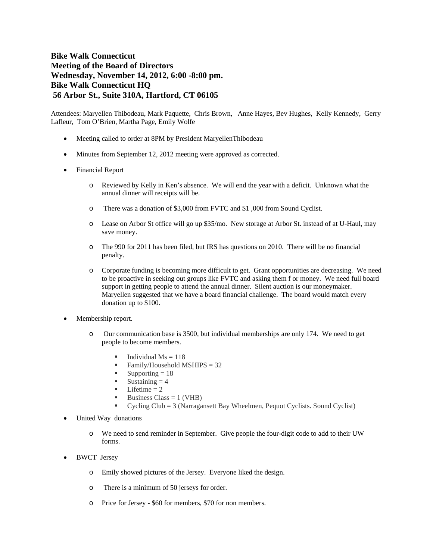#### **Bike Walk Connecticut Meeting of the Board of Directors Wednesday, November 14, 2012, 6:00 -8:00 pm. Bike Walk Connecticut HQ 56 Arbor St., Suite 310A, Hartford, CT 06105**

Attendees: Maryellen Thibodeau, Mark Paquette, Chris Brown, Anne Hayes, Bev Hughes, Kelly Kennedy, Gerry Lafleur, Tom O'Brien, Martha Page, Emily Wolfe

- Meeting called to order at 8PM by President MaryellenThibodeau
- Minutes from September 12, 2012 meeting were approved as corrected.
- Financial Report
	- o Reviewed by Kelly in Ken's absence. We will end the year with a deficit. Unknown what the annual dinner will receipts will be.
	- o There was a donation of \$3,000 from FVTC and \$1 ,000 from Sound Cyclist.
	- o Lease on Arbor St office will go up \$35/mo. New storage at Arbor St. instead of at U-Haul, may save money.
	- o The 990 for 2011 has been filed, but IRS has questions on 2010. There will be no financial penalty.
	- o Corporate funding is becoming more difficult to get. Grant opportunities are decreasing. We need to be proactive in seeking out groups like FVTC and asking them f or money. We need full board support in getting people to attend the annual dinner. Silent auction is our moneymaker. Maryellen suggested that we have a board financial challenge. The board would match every donation up to \$100.
- Membership report.
	- o Our communication base is 3500, but individual memberships are only 174. We need to get people to become members.
		- Individual  $Ms = 118$
		- Family/Household MSHIPS = 32<br>Supporting = 18
		- Supporting  $= 18$
		- $Sustaining = 4$
		- $\blacksquare$  Lifetime = 2
		- Business Class  $= 1$  (VHB)
		- Cycling Club = 3 (Narragansett Bay Wheelmen, Pequot Cyclists. Sound Cyclist)
- United Way donations
	- o We need to send reminder in September. Give people the four-digit code to add to their UW forms.
- BWCT Jersey
	- o Emily showed pictures of the Jersey. Everyone liked the design.
	- o There is a minimum of 50 jerseys for order.
	- o Price for Jersey \$60 for members, \$70 for non members.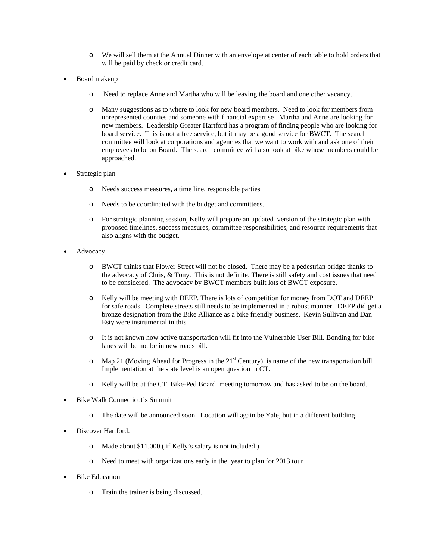- o We will sell them at the Annual Dinner with an envelope at center of each table to hold orders that will be paid by check or credit card.
- Board makeup
	- o Need to replace Anne and Martha who will be leaving the board and one other vacancy.
	- o Many suggestions as to where to look for new board members. Need to look for members from unrepresented counties and someone with financial expertise Martha and Anne are looking for new members. Leadership Greater Hartford has a program of finding people who are looking for board service. This is not a free service, but it may be a good service for BWCT. The search committee will look at corporations and agencies that we want to work with and ask one of their employees to be on Board. The search committee will also look at bike whose members could be approached.
- Strategic plan
	- o Needs success measures, a time line, responsible parties
	- o Needs to be coordinated with the budget and committees.
	- o For strategic planning session, Kelly will prepare an updated version of the strategic plan with proposed timelines, success measures, committee responsibilities, and resource requirements that also aligns with the budget.
- Advocacy
	- o BWCT thinks that Flower Street will not be closed. There may be a pedestrian bridge thanks to the advocacy of Chris, & Tony. This is not definite. There is still safety and cost issues that need to be considered. The advocacy by BWCT members built lots of BWCT exposure.
	- o Kelly will be meeting with DEEP. There is lots of competition for money from DOT and DEEP for safe roads. Complete streets still needs to be implemented in a robust manner. DEEP did get a bronze designation from the Bike Alliance as a bike friendly business. Kevin Sullivan and Dan Esty were instrumental in this.
	- o It is not known how active transportation will fit into the Vulnerable User Bill. Bonding for bike lanes will be not be in new roads bill.
	- $\circ$  Map 21 (Moving Ahead for Progress in the 21<sup>st</sup> Century) is name of the new transportation bill. Implementation at the state level is an open question in CT.
	- o Kelly will be at the CT Bike-Ped Board meeting tomorrow and has asked to be on the board.
- Bike Walk Connecticut's Summit
	- o The date will be announced soon. Location will again be Yale, but in a different building.
- Discover Hartford.
	- o Made about \$11,000 ( if Kelly's salary is not included )
	- o Need to meet with organizations early in the year to plan for 2013 tour
- Bike Education
	- o Train the trainer is being discussed.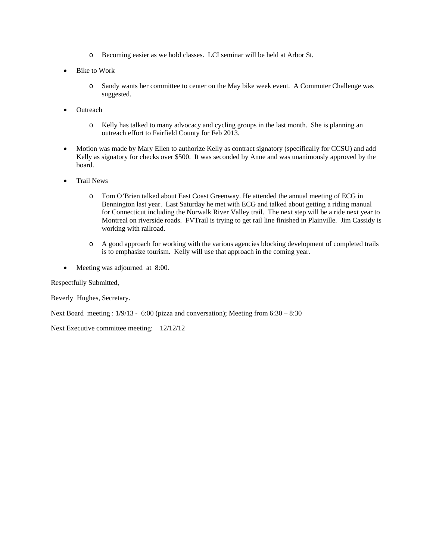- o Becoming easier as we hold classes. LCI seminar will be held at Arbor St.
- Bike to Work
	- o Sandy wants her committee to center on the May bike week event. A Commuter Challenge was suggested.
- **Outreach** 
	- o Kelly has talked to many advocacy and cycling groups in the last month. She is planning an outreach effort to Fairfield County for Feb 2013.
- Motion was made by Mary Ellen to authorize Kelly as contract signatory (specifically for CCSU) and add Kelly as signatory for checks over \$500. It was seconded by Anne and was unanimously approved by the board.
- Trail News
	- o Tom O'Brien talked about East Coast Greenway. He attended the annual meeting of ECG in Bennington last year. Last Saturday he met with ECG and talked about getting a riding manual for Connecticut including the Norwalk River Valley trail. The next step will be a ride next year to Montreal on riverside roads. FVTrail is trying to get rail line finished in Plainville. Jim Cassidy is working with railroad.
	- o A good approach for working with the various agencies blocking development of completed trails is to emphasize tourism. Kelly will use that approach in the coming year.
- Meeting was adjourned at 8:00.

Respectfully Submitted,

Beverly Hughes, Secretary.

Next Board meeting : 1/9/13 - 6:00 (pizza and conversation); Meeting from 6:30 – 8:30

Next Executive committee meeting: 12/12/12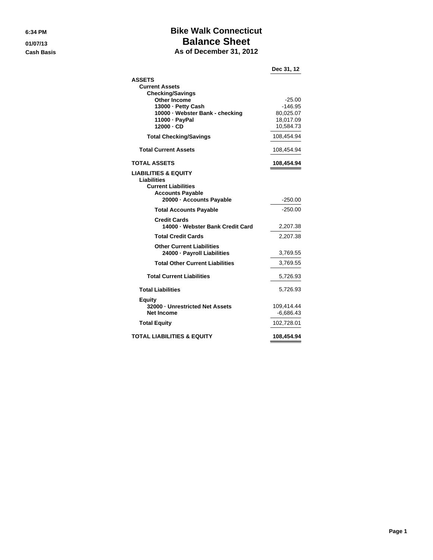### **6:34 PM Bike Walk Connecticut 01/07/13 Balance Sheet Cash Basis As of December 31, 2012**

|                                                         | Dec 31, 12  |
|---------------------------------------------------------|-------------|
| <b>ASSETS</b>                                           |             |
| <b>Current Assets</b><br><b>Checking/Savings</b>        |             |
| <b>Other Income</b>                                     | $-25.00$    |
| 13000 - Petty Cash                                      | $-146.95$   |
| 10000 · Webster Bank - checking                         | 80,025.07   |
| 11000 · PayPal                                          | 18,017.09   |
| $12000 \cdot CD$                                        | 10,584.73   |
| <b>Total Checking/Savings</b>                           | 108,454.94  |
| <b>Total Current Assets</b>                             | 108,454.94  |
| <b>TOTAL ASSETS</b>                                     | 108,454.94  |
| <b>LIABILITIES &amp; EQUITY</b><br>Liabilities          |             |
| <b>Current Liabilities</b>                              |             |
| <b>Accounts Payable</b><br>20000 - Accounts Payable     | -250.00     |
|                                                         |             |
| <b>Total Accounts Payable</b>                           | $-250.00$   |
| <b>Credit Cards</b><br>14000 - Webster Bank Credit Card | 2,207.38    |
|                                                         |             |
| <b>Total Credit Cards</b>                               | 2,207.38    |
| <b>Other Current Liabilities</b>                        |             |
| 24000 - Payroll Liabilities                             | 3,769.55    |
| <b>Total Other Current Liabilities</b>                  | 3,769.55    |
| <b>Total Current Liabilities</b>                        | 5,726.93    |
| <b>Total Liabilities</b>                                | 5,726.93    |
| <b>Equity</b>                                           |             |
| 32000 - Unrestricted Net Assets                         | 109,414.44  |
| <b>Net Income</b>                                       | $-6,686.43$ |
| <b>Total Equity</b>                                     | 102,728.01  |
| <b>TOTAL LIABILITIES &amp; EQUITY</b>                   | 108,454.94  |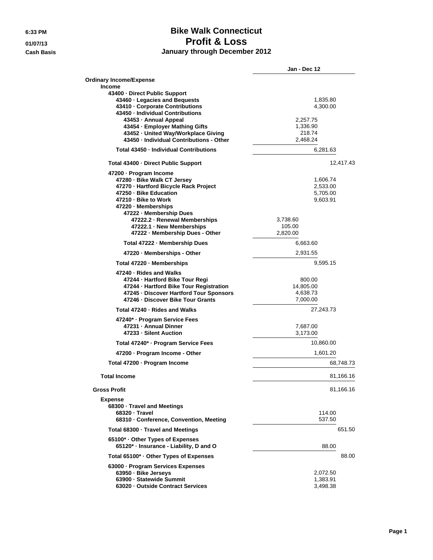### **6:33 PM Bike Walk Connecticut 01/07/13 Profit & Loss Cash Basis January through December 2012**

|                                                                           | Jan - Dec 12 |
|---------------------------------------------------------------------------|--------------|
| <b>Ordinary Income/Expense</b>                                            |              |
| Income                                                                    |              |
| 43400 - Direct Public Support                                             |              |
| 43460 · Legacies and Bequests                                             | 1,835.80     |
| 43410 - Corporate Contributions                                           | 4,300.00     |
| 43450 - Individual Contributions                                          |              |
| 43453 - Annual Appeal                                                     | 2,257.75     |
| 43454 - Employer Mathing Gifts                                            | 1,336.90     |
| 43452 - United Way/Workplace Giving                                       | 218.74       |
| 43450 - Individual Contributions - Other                                  | 2,468.24     |
| Total 43450 - Individual Contributions                                    | 6,281.63     |
| Total 43400 - Direct Public Support                                       | 12,417.43    |
| 47200 - Program Income                                                    |              |
| 47280 - Bike Walk CT Jersey                                               | 1,606.74     |
| 47270 - Hartford Bicycle Rack Project                                     | 2,533.00     |
| 47250 - Bike Education                                                    | 5,705.00     |
| 47210 - Bike to Work                                                      | 9,603.91     |
| 47220 - Memberships                                                       |              |
| 47222 - Membership Dues                                                   |              |
| 47222.2 · Renewal Memberships                                             | 3,738.60     |
| 47222.1 - New Memberships                                                 | 105.00       |
| 47222 - Membership Dues - Other                                           | 2.820.00     |
| Total 47222 - Membership Dues                                             | 6,663.60     |
| 47220 - Memberships - Other                                               | 2,931.55     |
| Total 47220 - Memberships                                                 | 9,595.15     |
| 47240 - Rides and Walks                                                   |              |
| 47244 - Hartford Bike Tour Regi                                           | 800.00       |
| 47244 - Hartford Bike Tour Registration                                   | 14,805.00    |
| 47245 · Discover Hartford Tour Sponsors                                   | 4,638.73     |
| 47246 - Discover Bike Tour Grants                                         | 7,000.00     |
|                                                                           |              |
| Total 47240 - Rides and Walks                                             | 27,243.73    |
| 47240* · Program Service Fees                                             |              |
| 47231 - Annual Dinner                                                     | 7,687.00     |
| 47233 - Silent Auction                                                    | 3,173.00     |
| Total 47240* · Program Service Fees                                       | 10,860.00    |
| 47200 - Program Income - Other                                            | 1,601.20     |
| Total 47200 - Program Income                                              | 68,748.73    |
| <b>Total Income</b>                                                       | 81,166.16    |
| <b>Gross Profit</b>                                                       | 81,166.16    |
| <b>Expense</b>                                                            |              |
| 68300 · Travel and Meetings                                               |              |
| 68320 Travel                                                              | 114.00       |
| 68310 - Conference, Convention, Meeting                                   | 537.50       |
| Total 68300 · Travel and Meetings                                         | 651.50       |
|                                                                           |              |
| 65100* Other Types of Expenses<br>65120* · Insurance - Liability, D and O | 88.00        |
| Total 65100* · Other Types of Expenses                                    | 88.00        |
|                                                                           |              |
| 63000 - Program Services Expenses                                         |              |
| 63950 - Bike Jerseys                                                      | 2,072.50     |
| 63900 - Statewide Summit                                                  | 1,383.91     |
| 63020 - Outside Contract Services                                         | 3,498.38     |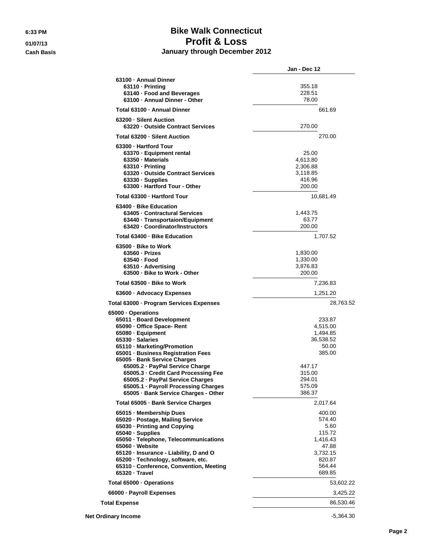### **6:33 PM Bike Walk Connecticut 01/07/13 Profit & Loss Cash Basis January through December 2012**

|                                                                                                                                                                                                                                                                                                                                                                                                                          | Jan - Dec 12                                                                                                     |
|--------------------------------------------------------------------------------------------------------------------------------------------------------------------------------------------------------------------------------------------------------------------------------------------------------------------------------------------------------------------------------------------------------------------------|------------------------------------------------------------------------------------------------------------------|
| 63100 - Annual Dinner<br>$63110 \cdot Printing$<br>63140 · Food and Beverages<br>63100 - Annual Dinner - Other                                                                                                                                                                                                                                                                                                           | 355.18<br>228.51<br>78.00                                                                                        |
| Total 63100 - Annual Dinner                                                                                                                                                                                                                                                                                                                                                                                              | 661.69                                                                                                           |
| 63200 - Silent Auction<br>63220 - Outside Contract Services                                                                                                                                                                                                                                                                                                                                                              | 270.00                                                                                                           |
| Total 63200 - Silent Auction                                                                                                                                                                                                                                                                                                                                                                                             | 270.00                                                                                                           |
| 63300 - Hartford Tour<br>63370 - Equipment rental<br>63350 · Materials<br>63310 - Printing<br>63320 - Outside Contract Services<br>63330 · Supplies<br>63300 - Hartford Tour - Other                                                                                                                                                                                                                                     | 25.00<br>4,613.80<br>2,306.88<br>3,118.85<br>416.96<br>200.00                                                    |
| Total 63300 - Hartford Tour                                                                                                                                                                                                                                                                                                                                                                                              | 10,681.49                                                                                                        |
| 63400 - Bike Education<br>63405 - Contractural Services<br>63440 - Transportaion/Equipment<br>63420 - Coordinator/Instructors                                                                                                                                                                                                                                                                                            | 1,443.75<br>63.77<br>200.00                                                                                      |
| Total 63400 - Bike Education                                                                                                                                                                                                                                                                                                                                                                                             | 1,707.52                                                                                                         |
| 63500 - Bike to Work<br>$63560 \cdot Prizes$<br>63540 - Food<br>63510 · Advertising<br>63500 - Bike to Work - Other                                                                                                                                                                                                                                                                                                      | 1,830.00<br>1,330.00<br>3,876.83<br>200.00                                                                       |
| Total 63500 - Bike to Work                                                                                                                                                                                                                                                                                                                                                                                               | 7,236.83                                                                                                         |
| 63600 · Advocacy Expenses                                                                                                                                                                                                                                                                                                                                                                                                | 1,251.20                                                                                                         |
| Total 63000 - Program Services Expenses                                                                                                                                                                                                                                                                                                                                                                                  | 28,763.52                                                                                                        |
| 65000 · Operations<br>65011 - Board Development<br>65090 - Office Space- Rent<br>65080 · Equipment<br>65330 · Salaries<br>65110 - Marketing/Promotion<br>65001 · Business Registration Fees<br>65005 · Bank Service Charges<br>65005.2 - PayPal Service Charge<br>65005.3 Credit Card Processing Fee<br>65005.2 - PayPal Service Charges<br>65005.1 - Payroll Processing Charges<br>65005 · Bank Service Charges - Other | 233.87<br>4,515.00<br>1,494.85<br>36,538.52<br>50.00<br>385.00<br>447.17<br>315.00<br>294.01<br>575.09<br>386.37 |
| Total 65005 - Bank Service Charges                                                                                                                                                                                                                                                                                                                                                                                       | 2,017.64                                                                                                         |
| 65015 - Membership Dues<br>65020 · Postage, Mailing Service<br>65030 - Printing and Copying<br>65040 · Supplies<br>65050 - Telephone, Telecommunications<br>65060 - Website<br>65120 · Insurance - Liability, D and O<br>65200 · Technology, software, etc.<br>65310 - Conference, Convention, Meeting<br>65320 - Travel                                                                                                 | 400.00<br>574.40<br>5.60<br>115.72<br>1,416.43<br>47.88<br>3,732.15<br>820.87<br>564.44<br>689.85                |
| Total 65000 · Operations                                                                                                                                                                                                                                                                                                                                                                                                 | 53,602.22                                                                                                        |
| 66000 · Payroll Expenses                                                                                                                                                                                                                                                                                                                                                                                                 | 3,425.22                                                                                                         |
| <b>Total Expense</b>                                                                                                                                                                                                                                                                                                                                                                                                     | 86,530.46                                                                                                        |
| <b>Net Ordinary Income</b>                                                                                                                                                                                                                                                                                                                                                                                               | $-5,364.30$                                                                                                      |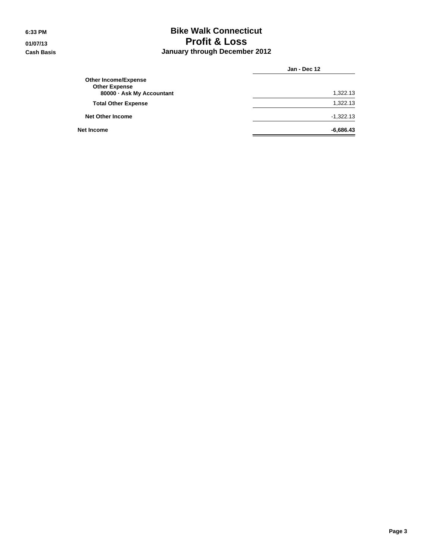### **6:33 PM Bike Walk Connecticut 01/07/13 Profit & Loss Cash Basis January through December 2012**

|                                                                                  | Jan - Dec 12 |  |
|----------------------------------------------------------------------------------|--------------|--|
| <b>Other Income/Expense</b><br><b>Other Expense</b><br>80000 - Ask My Accountant | 1,322.13     |  |
| <b>Total Other Expense</b>                                                       | 1,322.13     |  |
| <b>Net Other Income</b>                                                          | $-1,322.13$  |  |
| Net Income                                                                       | $-6,686.43$  |  |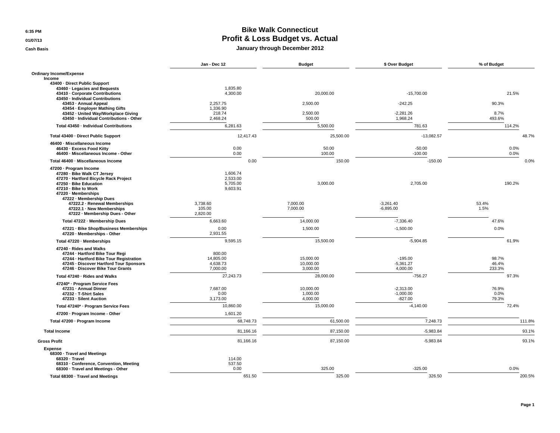**6:35 PM**

**01/07/13**

**Cash Basis**

#### **Bike Walk Connecticut Profit & Loss Budget vs. Actual January through December 2012**

|                                                                                                                                                                                                    | Jan - Dec 12                                 | <b>Budget</b>                      | \$ Over Budget                          | % of Budget              |
|----------------------------------------------------------------------------------------------------------------------------------------------------------------------------------------------------|----------------------------------------------|------------------------------------|-----------------------------------------|--------------------------|
| <b>Ordinary Income/Expense</b>                                                                                                                                                                     |                                              |                                    |                                         |                          |
| Income<br>43400 - Direct Public Support                                                                                                                                                            |                                              |                                    |                                         |                          |
| 43460 · Legacies and Bequests<br>43410 - Corporate Contributions<br>43450 - Individual Contributions                                                                                               | 1.835.80<br>4,300.00                         | 20,000.00                          | $-15,700.00$                            | 21.5%                    |
| 43453 - Annual Appeal<br>43454 · Employer Mathing Gifts                                                                                                                                            | 2,257.75<br>1,336.90                         | 2,500.00                           | $-242.25$                               | 90.3%                    |
| 43452 - United Way/Workplace Giving<br>43450 · Individual Contributions - Other                                                                                                                    | 218.74<br>2,468.24                           | 2,500.00<br>500.00                 | $-2,281.26$<br>1,968.24                 | 8.7%<br>493.6%           |
| Total 43450 - Individual Contributions                                                                                                                                                             | 6,281.63                                     | 5,500.00                           | 781.63                                  | 114.2%                   |
| Total 43400 - Direct Public Support                                                                                                                                                                | 12,417.43                                    | 25,500.00                          | $-13,082.57$                            | 48.7%                    |
| 46400 · Miscellaneous Income<br>46430 - Excess Food Kitty<br>46400 · Miscellaneous Income - Other                                                                                                  | 0.00<br>0.00                                 | 50.00<br>100.00                    | $-50.00$<br>$-100.00$                   | 0.0%<br>0.0%             |
| Total 46400 · Miscellaneous Income                                                                                                                                                                 | 0.00                                         | 150.00                             | $-150.00$                               | 0.0%                     |
| 47200 - Program Income<br>47280 · Bike Walk CT Jersey<br>47270 · Hartford Bicycle Rack Project<br>47250 · Bike Education<br>47210 - Bike to Work<br>47220 - Memberships<br>47222 - Membership Dues | 1,606.74<br>2,533.00<br>5,705.00<br>9,603.91 | 3.000.00                           | 2,705.00                                | 190.2%                   |
| 47222.2 · Renewal Memberships<br>47222.1 - New Memberships<br>47222 - Membership Dues - Other                                                                                                      | 3,738.60<br>105.00<br>2,820.00               | 7,000.00<br>7,000.00               | $-3,261.40$<br>$-6,895.00$              | 53.4%<br>1.5%            |
| Total 47222 - Membership Dues                                                                                                                                                                      | 6,663.60                                     | 14,000.00                          | $-7,336.40$                             | 47.6%                    |
| 47221 · Bike Shop/Business Memberships<br>47220 - Memberships - Other                                                                                                                              | 0.00<br>2.931.55                             | 1,500.00                           | $-1,500.00$                             | 0.0%                     |
| Total 47220 - Memberships                                                                                                                                                                          | 9,595.15                                     | 15,500.00                          | $-5,904.85$                             | 61.9%                    |
| 47240 · Rides and Walks<br>47244 - Hartford Bike Tour Regi<br>47244 - Hartford Bike Tour Registration<br>47245 - Discover Hartford Tour Sponsors<br>47246 - Discover Bike Tour Grants              | 800.00<br>14.805.00<br>4.638.73<br>7,000.00  | 15,000.00<br>10.000.00<br>3,000.00 | $-195.00$<br>$-5,361.27$<br>4,000.00    | 98.7%<br>46.4%<br>233.3% |
| Total 47240 - Rides and Walks                                                                                                                                                                      | 27,243.73                                    | 28,000.00                          | $-756.27$                               | 97.3%                    |
| 47240* - Program Service Fees<br>47231 - Annual Dinner<br>47232 - T-Shirt Sales<br>47233 - Silent Auction                                                                                          | 7,687.00<br>0.00<br>3,173.00                 | 10,000.00<br>1,000.00<br>4,000.00  | $-2,313.00$<br>$-1,000.00$<br>$-827.00$ | 76.9%<br>0.0%<br>79.3%   |
| Total 47240* · Program Service Fees                                                                                                                                                                | 10,860.00                                    | 15,000.00                          | $-4,140.00$                             | 72.4%                    |
| 47200 - Program Income - Other                                                                                                                                                                     | 1,601.20                                     |                                    |                                         |                          |
| Total 47200 - Program Income                                                                                                                                                                       | 68,748.73                                    | 61,500.00                          | 7,248.73                                | 111.8%                   |
| <b>Total Income</b>                                                                                                                                                                                | 81,166.16                                    | 87,150.00                          | $-5,983.84$                             | 93.1%                    |
| <b>Gross Profit</b>                                                                                                                                                                                | 81,166.16                                    | 87,150.00                          | $-5,983.84$                             | 93.1%                    |
| <b>Expense</b><br>68300 · Travel and Meetings<br>68320 · Travel<br>68310 · Conference, Convention, Meeting<br>68300 · Travel and Meetings - Other                                                  | 114.00<br>537.50<br>0.00                     | 325.00                             | $-325.00$                               | 0.0%                     |
| Total 68300 - Travel and Meetings                                                                                                                                                                  | 651.50                                       | 325.00                             | 326.50                                  | 200.5%                   |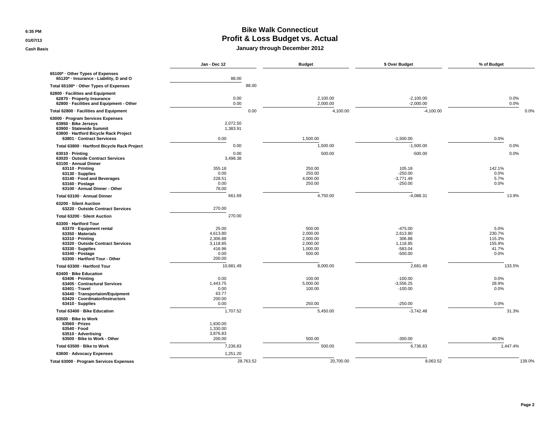**6:35 PM**

**01/07/13**

**Cash Basis**

#### **Bike Walk Connecticut Profit & Loss Budget vs. Actual January through December 2012**

|                                                                                                                                                                                                                      | Jan - Dec 12                                                          | <b>Budget</b>                                                    | \$ Over Budget                                                        | % of Budget                                         |
|----------------------------------------------------------------------------------------------------------------------------------------------------------------------------------------------------------------------|-----------------------------------------------------------------------|------------------------------------------------------------------|-----------------------------------------------------------------------|-----------------------------------------------------|
| 65100* Other Types of Expenses<br>65120* · Insurance - Liability, D and O                                                                                                                                            | 88.00                                                                 |                                                                  |                                                                       |                                                     |
| Total 65100* · Other Types of Expenses                                                                                                                                                                               | 88.00                                                                 |                                                                  |                                                                       |                                                     |
| 62800 - Facilities and Equipment<br>62870 · Property Insurance<br>62800 - Facilities and Equipment - Other                                                                                                           | 0.00<br>0.00                                                          | 2,100.00<br>2,000.00                                             | $-2,100.00$<br>$-2,000.00$                                            | 0.0%<br>0.0%                                        |
| Total 62800 - Facilities and Equipment                                                                                                                                                                               | 0.00                                                                  | 4,100.00                                                         | $-4,100.00$                                                           | 0.0%                                                |
| 63000 · Program Services Expenses<br>63950 · Bike Jerseys<br>63900 · Statewide Summit<br>63800 - Hartford Bicycle Rack Project<br>63801 - Contract Servicess                                                         | 2,072.50<br>1,383.91<br>0.00                                          | 1,500.00                                                         | $-1,500.00$                                                           | 0.0%                                                |
| Total 63800 - Hartford Bicycle Rack Project                                                                                                                                                                          | 0.00                                                                  | 1,500.00                                                         | $-1,500.00$                                                           | 0.0%                                                |
| $63010 \cdot \text{Prining}$<br>63020 · Outside Contract Services<br>63100 - Annual Dinner<br>$63110 \cdot \text{Printing}$<br>$63130 \cdot$ Supplies                                                                | 0.00<br>3,498.38<br>355.18<br>0.00                                    | 500.00<br>250.00<br>250.00                                       | $-500.00$<br>105.18<br>$-250.00$                                      | 0.0%<br>142.1%<br>0.0%                              |
| 63140 · Food and Beverages<br>$63160 \cdot$ Postage<br>63100 · Annual Dinner - Other                                                                                                                                 | 228.51<br>0.00<br>78.00                                               | 4,000.00<br>250.00                                               | $-3,771.49$<br>$-250.00$                                              | 5.7%<br>0.0%                                        |
| Total 63100 · Annual Dinner                                                                                                                                                                                          | 661.69                                                                | 4,750.00                                                         | $-4,088.31$                                                           | 13.9%                                               |
| 63200 - Silent Auction<br>63220 - Outside Contract Services                                                                                                                                                          | 270.00                                                                |                                                                  |                                                                       |                                                     |
| Total 63200 - Silent Auction                                                                                                                                                                                         | 270.00                                                                |                                                                  |                                                                       |                                                     |
| 63300 - Hartford Tour<br>63370 - Equipment rental<br>63350 - Materials<br>$63310 \cdot \text{Printing}$<br>63320 - Outside Contract Services<br>63330 · Supplies<br>63340 · Postage<br>63300 - Hartford Tour - Other | 25.00<br>4.613.80<br>2,306.88<br>3,118.85<br>416.96<br>0.00<br>200.00 | 500.00<br>2.000.00<br>2,000.00<br>2,000.00<br>1,000.00<br>500.00 | $-475.00$<br>2.613.80<br>306.88<br>1,118.85<br>$-583.04$<br>$-500.00$ | 5.0%<br>230.7%<br>115.3%<br>155.9%<br>41.7%<br>0.0% |
| Total 63300 - Hartford Tour                                                                                                                                                                                          | 10,681.49                                                             | 8,000.00                                                         | 2,681.49                                                              | 133.5%                                              |
| 63400 · Bike Education<br>$63406 \cdot \text{Printing}$<br>63405 - Contractural Services<br>63401 - Travel<br>63440 · Transportaion/Equipment<br>63420 · Coordinator/Instructors<br>63410 · Supplies                 | 0.00<br>1,443.75<br>0.00<br>63.77<br>200.00<br>0.00                   | 100.00<br>5,000.00<br>100.00<br>250.00                           | $-100.00$<br>$-3,556.25$<br>$-100.00$<br>$-250.00$                    | $0.0\%$<br>28.9%<br>0.0%<br>0.0%                    |
| Total 63400 - Bike Education                                                                                                                                                                                         | 1,707.52                                                              | 5,450.00                                                         | $-3,742.48$                                                           | 31.3%                                               |
| 63500 - Bike to Work<br>63560 - Prizes<br>63540 - Food<br>63510 · Advertising<br>63500 - Bike to Work - Other                                                                                                        | 1,830.00<br>1,330.00<br>3,876.83<br>200.00                            | 500.00                                                           | $-300.00$                                                             | 40.0%                                               |
| Total 63500 - Bike to Work                                                                                                                                                                                           | 7,236.83                                                              | 500.00                                                           | 6,736.83                                                              | 1,447.4%                                            |
| 63600 · Advocacy Expenses                                                                                                                                                                                            | 1,251.20                                                              |                                                                  |                                                                       |                                                     |
| Total 63000 - Program Services Expenses                                                                                                                                                                              | 28,763.52                                                             | 20,700.00                                                        | 8,063.52                                                              | 139.0%                                              |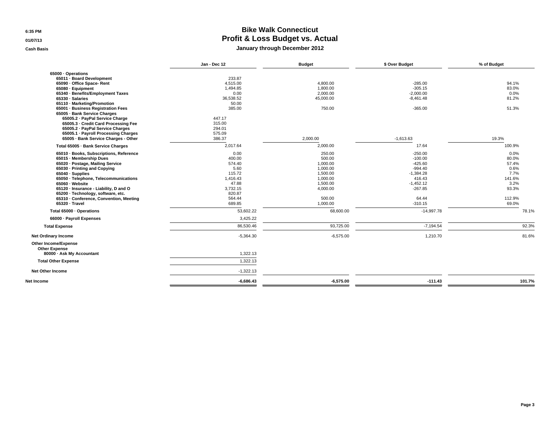**6:35 PM**

**01/07/13**

**Cash Basis**

### **Bike Walk Connecticut Profit & Loss Budget vs. Actual**

#### **January through December 2012**

|                                         | Jan - Dec 12 | <b>Budget</b> | \$ Over Budget | % of Budget |
|-----------------------------------------|--------------|---------------|----------------|-------------|
| 65000 · Operations                      |              |               |                |             |
| 65011 · Board Development               | 233.87       |               |                |             |
| 65090 · Office Space- Rent              | 4,515.00     | 4,800.00      | $-285.00$      | 94.1%       |
| 65080 · Equipment                       | 1,494.85     | 1,800.00      | $-305.15$      | 83.0%       |
| 65340 · Benefits/Employment Taxes       | 0.00         | 2,000.00      | $-2,000.00$    | 0.0%        |
| 65330 · Salaries                        | 36,538.52    | 45,000.00     | $-8,461.48$    | 81.2%       |
| 65110 · Marketing/Promotion             | 50.00        |               |                |             |
| 65001 · Business Registration Fees      | 385.00       | 750.00        | $-365.00$      | 51.3%       |
| 65005 - Bank Service Charges            |              |               |                |             |
| 65005.2 · PayPal Service Charge         | 447.17       |               |                |             |
| 65005.3 - Credit Card Processing Fee    | 315.00       |               |                |             |
| 65005.2 - PayPal Service Charges        | 294.01       |               |                |             |
| 65005.1 - Payroll Processing Charges    | 575.09       |               |                |             |
| 65005 · Bank Service Charges - Other    | 386.37       | 2,000.00      | $-1,613.63$    | 19.3%       |
| Total 65005 - Bank Service Charges      | 2,017.64     | 2,000.00      | 17.64          | 100.9%      |
| 65010 · Books, Subscriptions, Reference | 0.00         | 250.00        | $-250.00$      | 0.0%        |
| 65015 - Membership Dues                 | 400.00       | 500.00        | $-100.00$      | 80.0%       |
| 65020 · Postage, Mailing Service        | 574.40       | 1,000.00      | $-425.60$      | 57.4%       |
| 65030 - Printing and Copying            | 5.60         | 1,000.00      | $-994.40$      | 0.6%        |
| 65040 · Supplies                        | 115.72       | 1,500.00      | $-1.384.28$    | 7.7%        |
| 65050 · Telephone, Telecommunications   | 1.416.43     | 1.000.00      | 416.43         | 141.6%      |
| 65060 - Website                         | 47.88        | 1.500.00      | $-1.452.12$    | 3.2%        |
| 65120 · Insurance - Liability, D and O  | 3,732.15     | 4.000.00      | $-267.85$      | 93.3%       |
| 65200 · Technology, software, etc.      | 820.87       |               |                |             |
| 65310 · Conference, Convention, Meeting | 564.44       | 500.00        | 64.44          | 112.9%      |
| 65320 · Travel                          | 689.85       | 1,000.00      | $-310.15$      | 69.0%       |
| Total 65000 - Operations                | 53,602.22    | 68,600.00     | $-14,997.78$   | 78.1%       |
| 66000 · Payroll Expenses                | 3,425.22     |               |                |             |
| <b>Total Expense</b>                    | 86,530.46    | 93,725.00     | $-7,194.54$    | 92.3%       |
| <b>Net Ordinary Income</b>              | $-5,364.30$  | $-6,575.00$   | 1,210.70       | 81.6%       |
| Other Income/Expense                    |              |               |                |             |
| <b>Other Expense</b>                    |              |               |                |             |
| 80000 - Ask My Accountant               | 1,322.13     |               |                |             |
| <b>Total Other Expense</b>              | 1,322.13     |               |                |             |
| <b>Net Other Income</b>                 | $-1,322.13$  |               |                |             |
|                                         |              |               |                |             |
| <b>Net Income</b>                       | $-6,686.43$  | $-6,575.00$   | $-111.43$      | 101.7%      |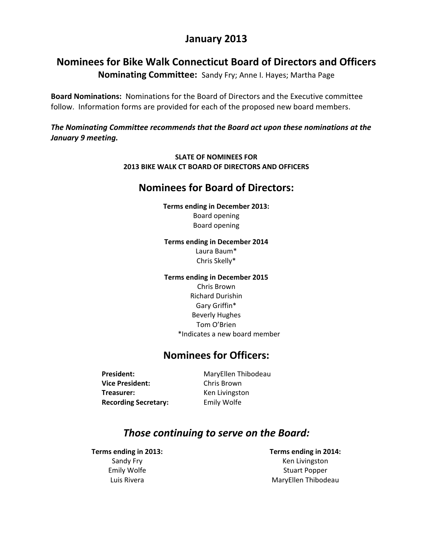# **January 2013**

# **Nominees for Bike Walk Connecticut Board of Directors and Officers**

**Nominating Committee:** Sandy Fry; Anne I. Hayes; Martha Page

**Board Nominations:** Nominations for the Board of Directors and the Executive committee follow. Information forms are provided for each of the proposed new board members.

*The Nominating Committee recommends that the Board act upon these nominations at the January 9 meeting.*

#### **SLATE OF NOMINEES FOR 2013 BIKE WALK CT BOARD OF DIRECTORS AND OFFICERS**

## **Nominees for Board of Directors:**

**Terms ending in December 2013:** Board opening Board opening

#### **Terms ending in December 2014**

Laura Baum\* Chris Skelly\*

#### **Terms ending in December 2015**

Chris Brown Richard Durishin Gary Griffin\* Beverly Hughes Tom O'Brien \*Indicates a new board member

# **Nominees for Officers:**

President: MaryEllen Thibodeau **Vice President:** Chris Brown **Treasurer: Ken Livingston Recording Secretary:**  Emily Wolfe

# *Those continuing to serve on the Board:*

**Terms ending in 2013:** Sandy Fry Emily Wolfe Luis Rivera

**Terms ending in 2014:** Ken Livingston Stuart Popper MaryEllen Thibodeau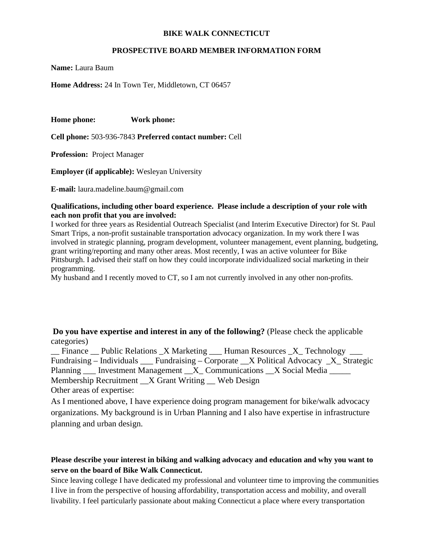#### **BIKE WALK CONNECTICUT**

#### **PROSPECTIVE BOARD MEMBER INFORMATION FORM**

**Name:** Laura Baum

**Home Address:** 24 In Town Ter, Middletown, CT 06457

**Home phone: Work phone:** 

**Cell phone:** 503-936-7843 **Preferred contact number:** Cell

**Profession:** Project Manager

**Employer (if applicable):** Wesleyan University

**E-mail:** laura.madeline.baum@gmail.com

#### **Qualifications, including other board experience. Please include a description of your role with each non profit that you are involved:**

I worked for three years as Residential Outreach Specialist (and Interim Executive Director) for St. Paul Smart Trips, a non-profit sustainable transportation advocacy organization. In my work there I was involved in strategic planning, program development, volunteer management, event planning, budgeting, grant writing/reporting and many other areas. Most recently, I was an active volunteer for Bike Pittsburgh. I advised their staff on how they could incorporate individualized social marketing in their programming.

My husband and I recently moved to CT, so I am not currently involved in any other non-profits.

**Do you have expertise and interest in any of the following?** (Please check the applicable categories)

\_\_ Finance \_\_ Public Relations \_X Marketing \_\_\_ Human Resources \_X\_ Technology \_\_\_ Fundraising – Individuals \_\_\_ Fundraising – Corporate \_\_X Political Advocacy \_X\_ Strategic Planning Investment Management X Communications X Social Media Membership Recruitment \_\_X Grant Writing \_\_ Web Design Other areas of expertise:

As I mentioned above, I have experience doing program management for bike/walk advocacy organizations. My background is in Urban Planning and I also have expertise in infrastructure planning and urban design.

#### **Please describe your interest in biking and walking advocacy and education and why you want to serve on the board of Bike Walk Connecticut.**

Since leaving college I have dedicated my professional and volunteer time to improving the communities I live in from the perspective of housing affordability, transportation access and mobility, and overall livability. I feel particularly passionate about making Connecticut a place where every transportation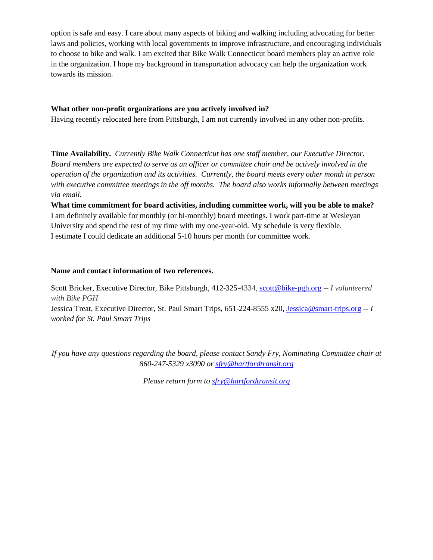option is safe and easy. I care about many aspects of biking and walking including advocating for better laws and policies, working with local governments to improve infrastructure, and encouraging individuals to choose to bike and walk. I am excited that Bike Walk Connecticut board members play an active role in the organization. I hope my background in transportation advocacy can help the organization work towards its mission.

#### **What other non-profit organizations are you actively involved in?**

Having recently relocated here from Pittsburgh, I am not currently involved in any other non-profits.

**Time Availability.** *Currently Bike Walk Connecticut has one staff member, our Executive Director. Board members are expected to serve as an officer or committee chair and be actively involved in the operation of the organization and its activities. Currently, the board meets every other month in person with executive committee meetings in the off months. The board also works informally between meetings via email.* 

**What time commitment for board activities, including committee work, will you be able to make?**  I am definitely available for monthly (or bi-monthly) board meetings. I work part-time at Wesleyan University and spend the rest of my time with my one-year-old. My schedule is very flexible. I estimate I could dedicate an additional 5-10 hours per month for committee work.

#### **Name and contact information of two references.**

Scott Bricker, Executive Director, Bike Pittsburgh, 412-325-4334, scott@bike-pgh.org -- *I volunteered with Bike PGH* Jessica Treat, Executive Director, St. Paul Smart Trips, 651-224-8555 x20, Jessica@smart-trips.org *-- I worked for St. Paul Smart Trips*

*If you have any questions regarding the board, please contact Sandy Fry, Nominating Committee chair at 860-247-5329 x3090 or sfry@hartfordtransit.org*

*Please return form to sfry@hartfordtransit.org*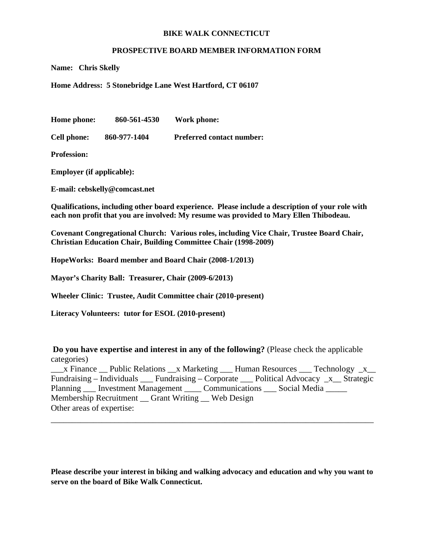#### **BIKE WALK CONNECTICUT**

#### **PROSPECTIVE BOARD MEMBER INFORMATION FORM**

**Name: Chris Skelly** 

**Home Address: 5 Stonebridge Lane West Hartford, CT 06107** 

**Home phone: 860-561-4530 Work phone:** 

**Cell phone: 860-977-1404 Preferred contact number:** 

**Profession:** 

**Employer (if applicable):** 

**E-mail: cebskelly@comcast.net** 

**Qualifications, including other board experience. Please include a description of your role with each non profit that you are involved: My resume was provided to Mary Ellen Thibodeau.** 

**Covenant Congregational Church: Various roles, including Vice Chair, Trustee Board Chair, Christian Education Chair, Building Committee Chair (1998-2009)** 

**HopeWorks: Board member and Board Chair (2008-1/2013)** 

**Mayor's Charity Ball: Treasurer, Chair (2009-6/2013)** 

**Wheeler Clinic: Trustee, Audit Committee chair (2010-present)** 

**Literacy Volunteers: tutor for ESOL (2010-present)** 

**Do you have expertise and interest in any of the following?** (Please check the applicable categories)

\_\_\_x Finance \_\_ Public Relations \_\_x Marketing \_\_\_ Human Resources \_\_\_ Technology \_x\_\_ Fundraising – Individuals  $\Box$  Fundraising – Corporate  $\Box$  Political Advocacy  $\Box x$  Strategic Planning \_\_\_ Investment Management \_\_\_\_ Communications \_\_\_ Social Media \_\_\_\_\_ Membership Recruitment \_\_ Grant Writing \_\_ Web Design Other areas of expertise:

\_\_\_\_\_\_\_\_\_\_\_\_\_\_\_\_\_\_\_\_\_\_\_\_\_\_\_\_\_\_\_\_\_\_\_\_\_\_\_\_\_\_\_\_\_\_\_\_\_\_\_\_\_\_\_\_\_\_\_\_\_\_\_\_\_\_\_\_\_\_\_\_\_\_\_\_

**Please describe your interest in biking and walking advocacy and education and why you want to serve on the board of Bike Walk Connecticut.**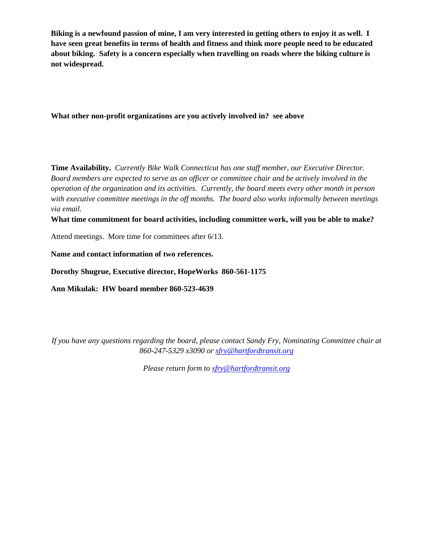**Biking is a newfound passion of mine, I am very interested in getting others to enjoy it as well. I have seen great benefits in terms of health and fitness and think more people need to be educated about biking. Safety is a concern especially when travelling on roads where the biking culture is not widespread.** 

**What other non-profit organizations are you actively involved in? see above** 

**Time Availability.** *Currently Bike Walk Connecticut has one staff member, our Executive Director. Board members are expected to serve as an officer or committee chair and be actively involved in the operation of the organization and its activities. Currently, the board meets every other month in person with executive committee meetings in the off months. The board also works informally between meetings via email.* 

**What time commitment for board activities, including committee work, will you be able to make?** 

Attend meetings. More time for committees after 6/13.

**Name and contact information of two references.** 

**Dorothy Shugrue, Executive director, HopeWorks 860-561-1175** 

**Ann Mikulak: HW board member 860-523-4639** 

*If you have any questions regarding the board, please contact Sandy Fry, Nominating Committee chair at 860-247-5329 x3090 or sfry@hartfordtransit.org*

*Please return form to sfry@hartfordtransit.org*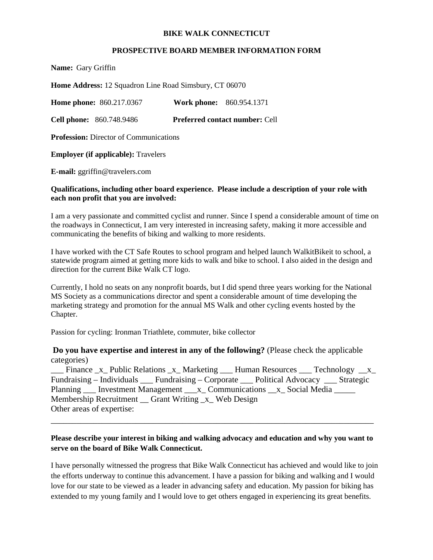#### **BIKE WALK CONNECTICUT**

#### **PROSPECTIVE BOARD MEMBER INFORMATION FORM**

**Name:** Gary Griffin

**Home Address:** 12 Squadron Line Road Simsbury, CT 06070

**Home phone:** 860.217.0367 **Work phone:** 860.954.1371

**Cell phone:** 860.748.9486 **Preferred contact number:** Cell

**Profession:** Director of Communications

**Employer (if applicable):** Travelers

**E-mail:** ggriffin@travelers.com

#### **Qualifications, including other board experience. Please include a description of your role with each non profit that you are involved:**

I am a very passionate and committed cyclist and runner. Since I spend a considerable amount of time on the roadways in Connecticut, I am very interested in increasing safety, making it more accessible and communicating the benefits of biking and walking to more residents.

I have worked with the CT Safe Routes to school program and helped launch WalkitBikeit to school, a statewide program aimed at getting more kids to walk and bike to school. I also aided in the design and direction for the current Bike Walk CT logo.

Currently, I hold no seats on any nonprofit boards, but I did spend three years working for the National MS Society as a communications director and spent a considerable amount of time developing the marketing strategy and promotion for the annual MS Walk and other cycling events hosted by the Chapter.

Passion for cycling: Ironman Triathlete, commuter, bike collector

**Do you have expertise and interest in any of the following?** (Please check the applicable categories)

\_Finance \_x\_ Public Relations \_x\_ Marketing \_\_\_ Human Resources \_\_\_ Technology \_\_x\_ Fundraising – Individuals \_\_\_ Fundraising – Corporate \_\_\_ Political Advocacy \_\_\_ Strategic Planning Investment Management x Communications x Social Media Membership Recruitment \_\_ Grant Writing \_x\_ Web Design Other areas of expertise:

#### **Please describe your interest in biking and walking advocacy and education and why you want to serve on the board of Bike Walk Connecticut.**

\_\_\_\_\_\_\_\_\_\_\_\_\_\_\_\_\_\_\_\_\_\_\_\_\_\_\_\_\_\_\_\_\_\_\_\_\_\_\_\_\_\_\_\_\_\_\_\_\_\_\_\_\_\_\_\_\_\_\_\_\_\_\_\_\_\_\_\_\_\_\_\_\_\_\_\_

I have personally witnessed the progress that Bike Walk Connecticut has achieved and would like to join the efforts underway to continue this advancement. I have a passion for biking and walking and I would love for our state to be viewed as a leader in advancing safety and education. My passion for biking has extended to my young family and I would love to get others engaged in experiencing its great benefits.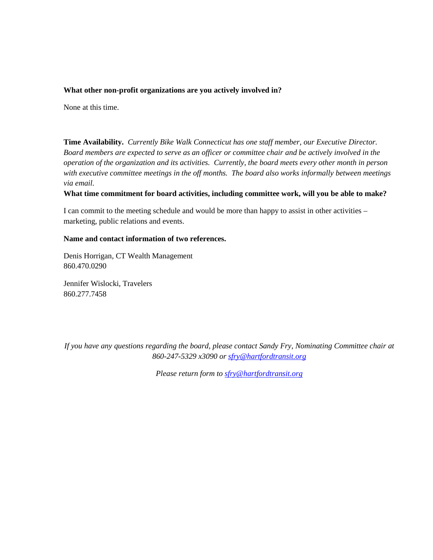#### **What other non-profit organizations are you actively involved in?**

None at this time.

**Time Availability.** *Currently Bike Walk Connecticut has one staff member, our Executive Director. Board members are expected to serve as an officer or committee chair and be actively involved in the operation of the organization and its activities. Currently, the board meets every other month in person with executive committee meetings in the off months. The board also works informally between meetings via email.* 

#### **What time commitment for board activities, including committee work, will you be able to make?**

I can commit to the meeting schedule and would be more than happy to assist in other activities – marketing, public relations and events.

#### **Name and contact information of two references.**

Denis Horrigan, CT Wealth Management 860.470.0290

Jennifer Wislocki, Travelers 860.277.7458

*If you have any questions regarding the board, please contact Sandy Fry, Nominating Committee chair at 860-247-5329 x3090 or sfry@hartfordtransit.org*

*Please return form to sfry@hartfordtransit.org*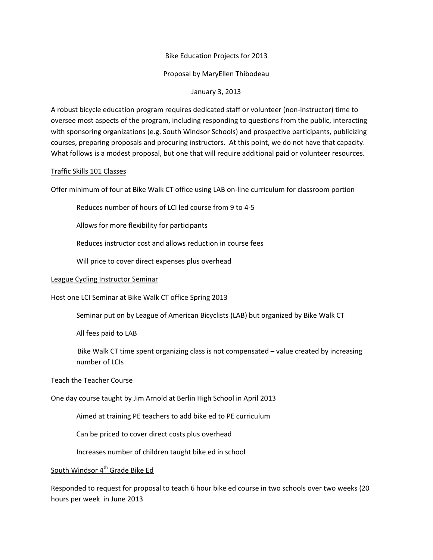#### Bike Education Projects for 2013

#### Proposal by MaryEllen Thibodeau

#### January 3, 2013

A robust bicycle education program requires dedicated staff or volunteer (non‐instructor) time to oversee most aspects of the program, including responding to questions from the public, interacting with sponsoring organizations (e.g. South Windsor Schools) and prospective participants, publicizing courses, preparing proposals and procuring instructors. At this point, we do not have that capacity. What follows is a modest proposal, but one that will require additional paid or volunteer resources.

#### Traffic Skills 101 Classes

Offer minimum of four at Bike Walk CT office using LAB on‐line curriculum for classroom portion

Reduces number of hours of LCI led course from 9 to 4‐5

Allows for more flexibility for participants

Reduces instructor cost and allows reduction in course fees

Will price to cover direct expenses plus overhead

#### League Cycling Instructor Seminar

Host one LCI Seminar at Bike Walk CT office Spring 2013

Seminar put on by League of American Bicyclists (LAB) but organized by Bike Walk CT

All fees paid to LAB

Bike Walk CT time spent organizing class is not compensated – value created by increasing number of LCIs

#### Teach the Teacher Course

One day course taught by Jim Arnold at Berlin High School in April 2013

Aimed at training PE teachers to add bike ed to PE curriculum

Can be priced to cover direct costs plus overhead

Increases number of children taught bike ed in school

#### South Windsor 4<sup>th</sup> Grade Bike Ed

Responded to request for proposal to teach 6 hour bike ed course in two schools over two weeks (20 hours per week in June 2013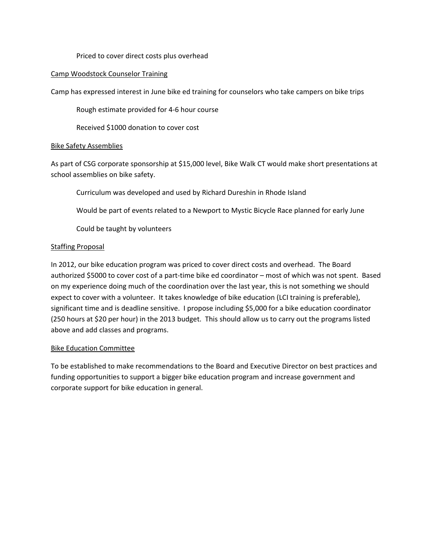#### Priced to cover direct costs plus overhead

#### Camp Woodstock Counselor Training

Camp has expressed interest in June bike ed training for counselors who take campers on bike trips

Rough estimate provided for 4‐6 hour course

Received \$1000 donation to cover cost

#### Bike Safety Assemblies

As part of CSG corporate sponsorship at \$15,000 level, Bike Walk CT would make short presentations at school assemblies on bike safety.

Curriculum was developed and used by Richard Dureshin in Rhode Island

Would be part of events related to a Newport to Mystic Bicycle Race planned for early June

Could be taught by volunteers

#### Staffing Proposal

In 2012, our bike education program was priced to cover direct costs and overhead. The Board authorized \$5000 to cover cost of a part-time bike ed coordinator – most of which was not spent. Based on my experience doing much of the coordination over the last year, this is not something we should expect to cover with a volunteer. It takes knowledge of bike education (LCI training is preferable), significant time and is deadline sensitive. I propose including \$5,000 for a bike education coordinator (250 hours at \$20 per hour) in the 2013 budget. This should allow us to carry out the programs listed above and add classes and programs.

#### Bike Education Committee

To be established to make recommendations to the Board and Executive Director on best practices and funding opportunities to support a bigger bike education program and increase government and corporate support for bike education in general.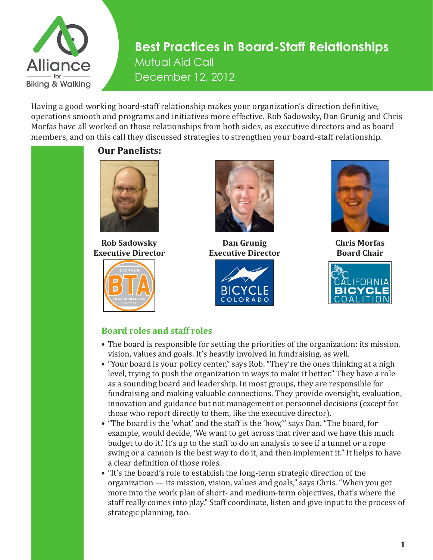

Having a good working board-staff relationship makes your organization's direction definitive, operations smooth and programs and initiatives more effective. Rob Sadowsky, Dan Grunig and Chris Morfas have all worked on those relationships from both sides, as executive directors and as board members, and on this call they discussed strategies to strengthen your board-staff relationship.



**Rob Sadowsky Executive Director** 





**Dan Grunig Executive Director**





**Chris Morfas Board Chair**



### **Board roles and staff roles**

- The board is responsible for setting the priorities of the organization: its mission, vision, values and goals. It's heavily involved in fundraising, as well.
- "Your board is your policy center," says Rob. "They're the ones thinking at a high level, trying to push the organization in ways to make it better." They have a role as a sounding board and leadership. In most groups, they are responsible for fundraising and making valuable connections. They provide oversight, evaluation, innovation and guidance but not management or personnel decisions (except for those who report directly to them, like the executive director).
- "The board is the 'what' and the staff is the 'how,'" says Dan. "The board, for example, would decide, 'We want to get across that river and we have this much budget to do it.' It's up to the staff to do an analysis to see if a tunnel or a rope swing or a cannon is the best way to do it, and then implement it." It helps to have a clear definition of those roles.
- "It's the board's role to establish the long-term strategic direction of the organization — its mission, vision, values and goals," says Chris. "When you get more into the work plan of short- and medium-term objectives, that's where the staff really comes into play." Staff coordinate, listen and give input to the process of strategic planning, too.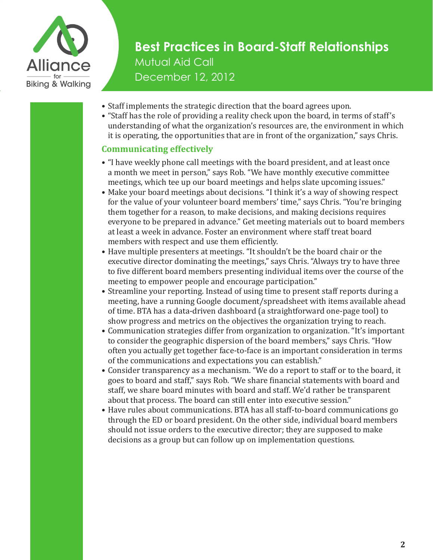

- Staff implements the strategic direction that the board agrees upon.
- "Staff has the role of providing a reality check upon the board, in terms of staff's understanding of what the organization's resources are, the environment in which it is operating, the opportunities that are in front of the organization," says Chris.

### **Communicating effectively**

- "I have weekly phone call meetings with the board president, and at least once a month we meet in person," says Rob. "We have monthly executive committee meetings, which tee up our board meetings and helps slate upcoming issues."
- Make your board meetings about decisions. "I think it's a way of showing respect for the value of your volunteer board members' time," says Chris. "You're bringing them together for a reason, to make decisions, and making decisions requires everyone to be prepared in advance." Get meeting materials out to board members at least a week in advance. Foster an environment where staff treat board members with respect and use them efficiently.
- Have multiple presenters at meetings. "It shouldn't be the board chair or the executive director dominating the meetings," says Chris. "Always try to have three to five different board members presenting individual items over the course of the meeting to empower people and encourage participation."
- Streamline your reporting. Instead of using time to present staff reports during a meeting, have a running Google document/spreadsheet with items available ahead of time. BTA has a data-driven dashboard (a straightforward one-page tool) to show progress and metrics on the objectives the organization trying to reach.
- Communication strategies differ from organization to organization. "It's important to consider the geographic dispersion of the board members," says Chris. "How often you actually get together face-to-face is an important consideration in terms of the communications and expectations you can establish."
- Consider transparency as a mechanism. "We do a report to staff or to the board, it goes to board and staff," says Rob. "We share financial statements with board and staff, we share board minutes with board and staff. We'd rather be transparent about that process. The board can still enter into executive session."
- Have rules about communications. BTA has all staff-to-board communications go through the ED or board president. On the other side, individual board members should not issue orders to the executive director; they are supposed to make decisions as a group but can follow up on implementation questions.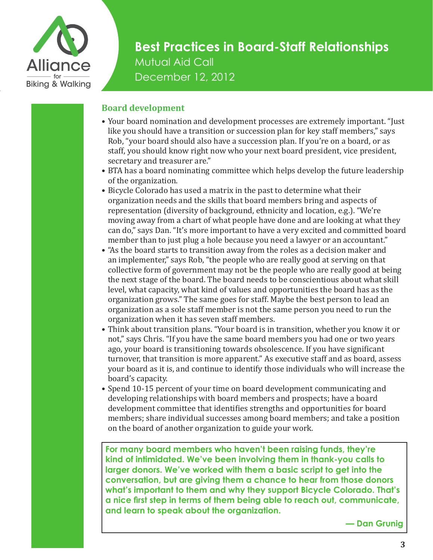

### **Board development**

- Your board nomination and development processes are extremely important. "Just like you should have a transition or succession plan for key staff members," says Rob, "your board should also have a succession plan. If you're on a board, or as staff, you should know right now who your next board president, vice president, secretary and treasurer are."
- BTA has a board nominating committee which helps develop the future leadership of the organization.
- Bicycle Colorado has used a matrix in the past to determine what their organization needs and the skills that board members bring and aspects of representation (diversity of background, ethnicity and location, e.g.). "We're moving away from a chart of what people have done and are looking at what they can do," says Dan. "It's more important to have a very excited and committed board member than to just plug a hole because you need a lawyer or an accountant."
- "As the board starts to transition away from the roles as a decision maker and an implementer," says Rob, "the people who are really good at serving on that collective form of government may not be the people who are really good at being the next stage of the board. The board needs to be conscientious about what skill level, what capacity, what kind of values and opportunities the board has as the organization grows." The same goes for staff. Maybe the best person to lead an organization as a sole staff member is not the same person you need to run the organization when it has seven staff members.
- Think about transition plans. "Your board is in transition, whether you know it or not," says Chris. "If you have the same board members you had one or two years ago, your board is transitioning towards obsolescence. If you have significant turnover, that transition is more apparent." As executive staff and as board, assess your board as it is, and continue to identify those individuals who will increase the board's capacity.
- Spend 10-15 percent of your time on board development communicating and developing relationships with board members and prospects; have a board development committee that identifies strengths and opportunities for board members; share individual successes among board members; and take a position on the board of another organization to guide your work.

**For many board members who haven't been raising funds, they're kind of intimidated. We've been involving them in thank-you calls to larger donors. We've worked with them a basic script to get into the conversation, but are giving them a chance to hear from those donors what's important to them and why they support Bicycle Colorado. That's a nice first step in terms of them being able to reach out, communicate, and learn to speak about the organization.**

**— Dan Grunig**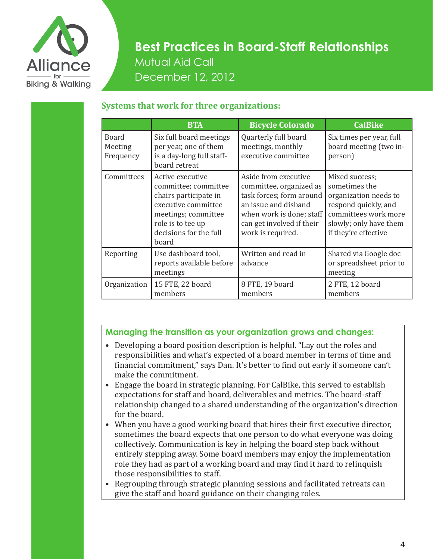

### **Systems that work for three organizations:**

|                               | <b>BTA</b>                                                                                                                                                              | <b>Bicycle Colorado</b>                                                                                                                                                           | <b>CalBike</b>                                                                                                                                             |
|-------------------------------|-------------------------------------------------------------------------------------------------------------------------------------------------------------------------|-----------------------------------------------------------------------------------------------------------------------------------------------------------------------------------|------------------------------------------------------------------------------------------------------------------------------------------------------------|
| Board<br>Meeting<br>Frequency | Six full board meetings<br>per year, one of them<br>is a day-long full staff-<br>board retreat                                                                          | Quarterly full board<br>meetings, monthly<br>executive committee                                                                                                                  | Six times per year, full<br>board meeting (two in-<br>person)                                                                                              |
| Committees                    | Active executive<br>committee; committee<br>chairs participate in<br>executive committee<br>meetings; committee<br>role is to tee up<br>decisions for the full<br>board | Aside from executive<br>committee, organized as<br>task forces; form around<br>an issue and disband<br>when work is done; staff<br>can get involved if their<br>work is required. | Mixed success;<br>sometimes the<br>organization needs to<br>respond quickly, and<br>committees work more<br>slowly; only have them<br>if they're effective |
| Reporting                     | Use dashboard tool,<br>reports available before<br>meetings                                                                                                             | Written and read in<br>advance                                                                                                                                                    | Shared via Google doc<br>or spreadsheet prior to<br>meeting                                                                                                |
| Organization                  | 15 FTE, 22 board<br>members                                                                                                                                             | 8 FTE, 19 board<br>members                                                                                                                                                        | 2 FTE, 12 board<br>members                                                                                                                                 |

### **Managing the transition as your organization grows and changes:**

- Developing a board position description is helpful. "Lay out the roles and responsibilities and what's expected of a board member in terms of time and financial commitment," says Dan. It's better to find out early if someone can't make the commitment.
- Engage the board in strategic planning. For CalBike, this served to establish expectations for staff and board, deliverables and metrics. The board-staff relationship changed to a shared understanding of the organization's direction for the board.
- When you have a good working board that hires their first executive director, sometimes the board expects that one person to do what everyone was doing collectively. Communication is key in helping the board step back without entirely stepping away. Some board members may enjoy the implementation role they had as part of a working board and may find it hard to relinquish those responsibilities to staff.
- Regrouping through strategic planning sessions and facilitated retreats can give the staff and board guidance on their changing roles.